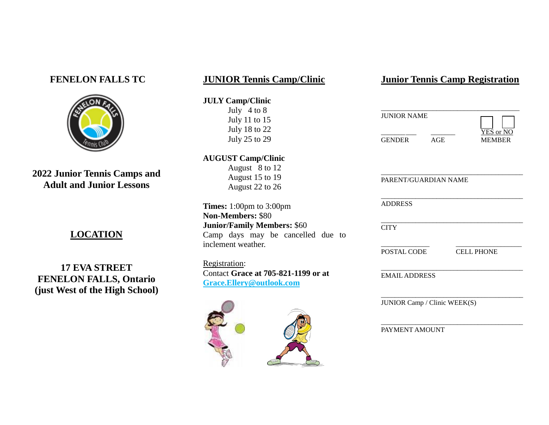## **FENELON FALLS TC**



**2022 Junior Tennis Camps and Adult and Junior Lessons**

## **LOCATION**

**17 EVA STREET FENELON FALLS, Ontario (just West of the High School)**

## **JUNIOR Tennis Camp/Clinic**

#### **JULY Camp/Clinic**

July 4 to 8 July 11 to 15 July 18 to 22 July 25 to 29

**AUGUST Camp/Clinic**  August 8 to 12 August 15 to 19 August 22 to 26

**Times:** 1:00pm to 3:00pm **Non-Members:** \$80 **Junior/Family Members:** \$60 Camp days may be cancelled due to inclement weather.

Registration: Contact **Grace at 705-821-1199 or at Grace.Ellery@outlook.com**



## **Junior Tennis Camp Registration**

| JUNIOR NAME |     |                            |
|-------------|-----|----------------------------|
| GENDER      | AGE | YES or NO<br><b>MEMBER</b> |

| PARENT/GUARDIAN NAME |                   |  |
|----------------------|-------------------|--|
| <b>ADDRESS</b>       |                   |  |
| <b>CITY</b>          |                   |  |
| POSTAL CODE          | <b>CELL PHONE</b> |  |
| <b>EMAIL ADDRESS</b> |                   |  |

\_\_\_\_\_\_\_\_\_\_\_\_\_\_\_\_\_\_\_\_\_\_\_\_\_\_\_\_\_\_\_\_\_\_\_\_\_\_\_\_\_ PAYMENT AMOUNT